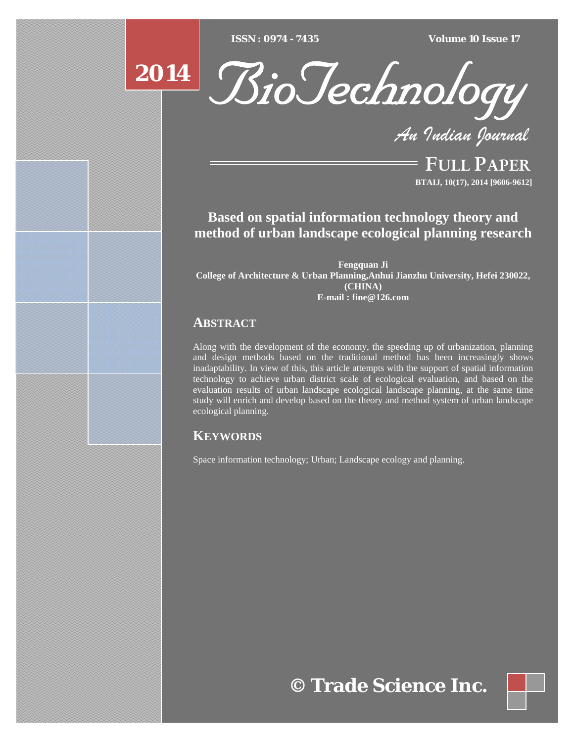$\overline{ISSN} : 0974 - 7435$ 

*ISSN : 0974 - 7435 Volume 10 Issue 17*





*An Indian Journal*

FULL PAPER **BTAIJ, 10(17), 2014 [9606-9612]**

# **Based on spatial information technology theory and method of urban landscape ecological planning research**

**Fengquan Ji College of Architecture & Urban Planning,Anhui Jianzhu University, Hefei 230022, (CHINA) E-mail : fine@126.com**

## **ABSTRACT**

Along with the development of the economy, the speeding up of urbanization, planning and design methods based on the traditional method has been increasingly shows inadaptability. In view of this, this article attempts with the support of spatial information technology to achieve urban district scale of ecological evaluation, and based on the evaluation results of urban landscape ecological landscape planning, at the same time study will enrich and develop based on the theory and method system of urban landscape ecological planning.

## **KEYWORDS**

Space information technology; Urban; Landscape ecology and planning.

**© Trade Science Inc.**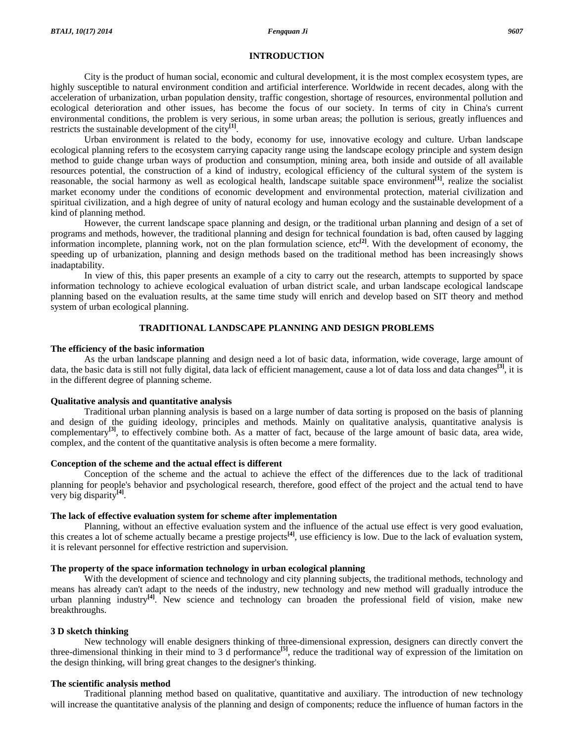#### **INTRODUCTION**

 City is the product of human social, economic and cultural development, it is the most complex ecosystem types, are highly susceptible to natural environment condition and artificial interference. Worldwide in recent decades, along with the acceleration of urbanization, urban population density, traffic congestion, shortage of resources, environmental pollution and ecological deterioration and other issues, has become the focus of our society. In terms of city in China's current environmental conditions, the problem is very serious, in some urban areas; the pollution is serious, greatly influences and restricts the sustainable development of the city**[1]**.

 Urban environment is related to the body, economy for use, innovative ecology and culture. Urban landscape ecological planning refers to the ecosystem carrying capacity range using the landscape ecology principle and system design method to guide change urban ways of production and consumption, mining area, both inside and outside of all available resources potential, the construction of a kind of industry, ecological efficiency of the cultural system of the system is reasonable, the social harmony as well as ecological health, landscape suitable space environment**[1]**, realize the socialist market economy under the conditions of economic development and environmental protection, material civilization and spiritual civilization, and a high degree of unity of natural ecology and human ecology and the sustainable development of a kind of planning method.

 However, the current landscape space planning and design, or the traditional urban planning and design of a set of programs and methods, however, the traditional planning and design for technical foundation is bad, often caused by lagging information incomplete, planning work, not on the plan formulation science, etc**[2]**. With the development of economy, the speeding up of urbanization, planning and design methods based on the traditional method has been increasingly shows inadaptability.

 In view of this, this paper presents an example of a city to carry out the research, attempts to supported by space information technology to achieve ecological evaluation of urban district scale, and urban landscape ecological landscape planning based on the evaluation results, at the same time study will enrich and develop based on SIT theory and method system of urban ecological planning.

#### **TRADITIONAL LANDSCAPE PLANNING AND DESIGN PROBLEMS**

#### **The efficiency of the basic information**

 As the urban landscape planning and design need a lot of basic data, information, wide coverage, large amount of data, the basic data is still not fully digital, data lack of efficient management, cause a lot of data loss and data changes**[3]**, it is in the different degree of planning scheme.

#### **Qualitative analysis and quantitative analysis**

 Traditional urban planning analysis is based on a large number of data sorting is proposed on the basis of planning and design of the guiding ideology, principles and methods. Mainly on qualitative analysis, quantitative analysis is complementary**[3]**, to effectively combine both. As a matter of fact, because of the large amount of basic data, area wide, complex, and the content of the quantitative analysis is often become a mere formality.

#### **Conception of the scheme and the actual effect is different**

 Conception of the scheme and the actual to achieve the effect of the differences due to the lack of traditional planning for people's behavior and psychological research, therefore, good effect of the project and the actual tend to have very big disparity**[4]**.

#### **The lack of effective evaluation system for scheme after implementation**

 Planning, without an effective evaluation system and the influence of the actual use effect is very good evaluation, this creates a lot of scheme actually became a prestige projects**[4]**, use efficiency is low. Due to the lack of evaluation system, it is relevant personnel for effective restriction and supervision.

#### **The property of the space information technology in urban ecological planning**

With the development of science and technology and city planning subjects, the traditional methods, technology and means has already can't adapt to the needs of the industry, new technology and new method will gradually introduce the urban planning industry**[4]**. New science and technology can broaden the professional field of vision, make new breakthroughs.

#### **3 D sketch thinking**

 New technology will enable designers thinking of three-dimensional expression, designers can directly convert the three-dimensional thinking in their mind to 3 d performance**[5]**, reduce the traditional way of expression of the limitation on the design thinking, will bring great changes to the designer's thinking.

#### **The scientific analysis method**

 Traditional planning method based on qualitative, quantitative and auxiliary. The introduction of new technology will increase the quantitative analysis of the planning and design of components; reduce the influence of human factors in the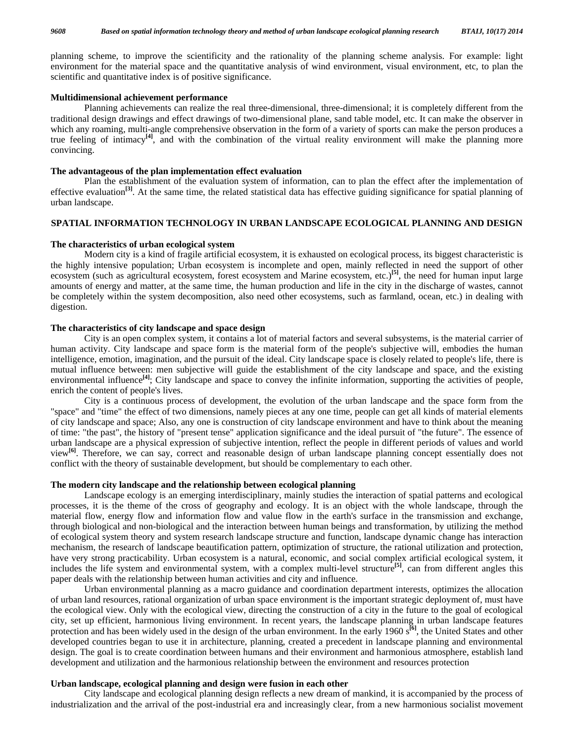planning scheme, to improve the scientificity and the rationality of the planning scheme analysis. For example: light environment for the material space and the quantitative analysis of wind environment, visual environment, etc, to plan the scientific and quantitative index is of positive significance.

#### **Multidimensional achievement performance**

 Planning achievements can realize the real three-dimensional, three-dimensional; it is completely different from the traditional design drawings and effect drawings of two-dimensional plane, sand table model, etc. It can make the observer in which any roaming, multi-angle comprehensive observation in the form of a variety of sports can make the person produces a true feeling of intimacy**[4]**, and with the combination of the virtual reality environment will make the planning more convincing.

#### **The advantageous of the plan implementation effect evaluation**

 Plan the establishment of the evaluation system of information, can to plan the effect after the implementation of effective evaluation<sup>[3]</sup>. At the same time, the related statistical data has effective guiding significance for spatial planning of urban landscape.

### **SPATIAL INFORMATION TECHNOLOGY IN URBAN LANDSCAPE ECOLOGICAL PLANNING AND DESIGN**

#### **The characteristics of urban ecological system**

 Modern city is a kind of fragile artificial ecosystem, it is exhausted on ecological process, its biggest characteristic is the highly intensive population; Urban ecosystem is incomplete and open, mainly reflected in need the support of other ecosystem (such as agricultural ecosystem, forest ecosystem and Marine ecosystem, etc.)**[5]**, the need for human input large amounts of energy and matter, at the same time, the human production and life in the city in the discharge of wastes, cannot be completely within the system decomposition, also need other ecosystems, such as farmland, ocean, etc.) in dealing with digestion.

#### **The characteristics of city landscape and space design**

 City is an open complex system, it contains a lot of material factors and several subsystems, is the material carrier of human activity. City landscape and space form is the material form of the people's subjective will, embodies the human intelligence, emotion, imagination, and the pursuit of the ideal. City landscape space is closely related to people's life, there is mutual influence between: men subjective will guide the establishment of the city landscape and space, and the existing environmental influence<sup>[4]</sup>; City landscape and space to convey the infinite information, supporting the activities of people, enrich the content of people's lives.

 City is a continuous process of development, the evolution of the urban landscape and the space form from the "space" and "time" the effect of two dimensions, namely pieces at any one time, people can get all kinds of material elements of city landscape and space; Also, any one is construction of city landscape environment and have to think about the meaning of time: "the past", the history of "present tense" application significance and the ideal pursuit of "the future". The essence of urban landscape are a physical expression of subjective intention, reflect the people in different periods of values and world view**[6]**. Therefore, we can say, correct and reasonable design of urban landscape planning concept essentially does not conflict with the theory of sustainable development, but should be complementary to each other.

#### **The modern city landscape and the relationship between ecological planning**

 Landscape ecology is an emerging interdisciplinary, mainly studies the interaction of spatial patterns and ecological processes, it is the theme of the cross of geography and ecology. It is an object with the whole landscape, through the material flow, energy flow and information flow and value flow in the earth's surface in the transmission and exchange, through biological and non-biological and the interaction between human beings and transformation, by utilizing the method of ecological system theory and system research landscape structure and function, landscape dynamic change has interaction mechanism, the research of landscape beautification pattern, optimization of structure, the rational utilization and protection, have very strong practicability. Urban ecosystem is a natural, economic, and social complex artificial ecological system, it includes the life system and environmental system, with a complex multi-level structure**[5]**, can from different angles this paper deals with the relationship between human activities and city and influence.

 Urban environmental planning as a macro guidance and coordination department interests, optimizes the allocation of urban land resources, rational organization of urban space environment is the important strategic deployment of, must have the ecological view. Only with the ecological view, directing the construction of a city in the future to the goal of ecological city, set up efficient, harmonious living environment. In recent years, the landscape planning in urban landscape features protection and has been widely used in the design of the urban environment. In the early 1960 s**[6]**, the United States and other developed countries began to use it in architecture, planning, created a precedent in landscape planning and environmental design. The goal is to create coordination between humans and their environment and harmonious atmosphere, establish land development and utilization and the harmonious relationship between the environment and resources protection

#### **Urban landscape, ecological planning and design were fusion in each other**

 City landscape and ecological planning design reflects a new dream of mankind, it is accompanied by the process of industrialization and the arrival of the post-industrial era and increasingly clear, from a new harmonious socialist movement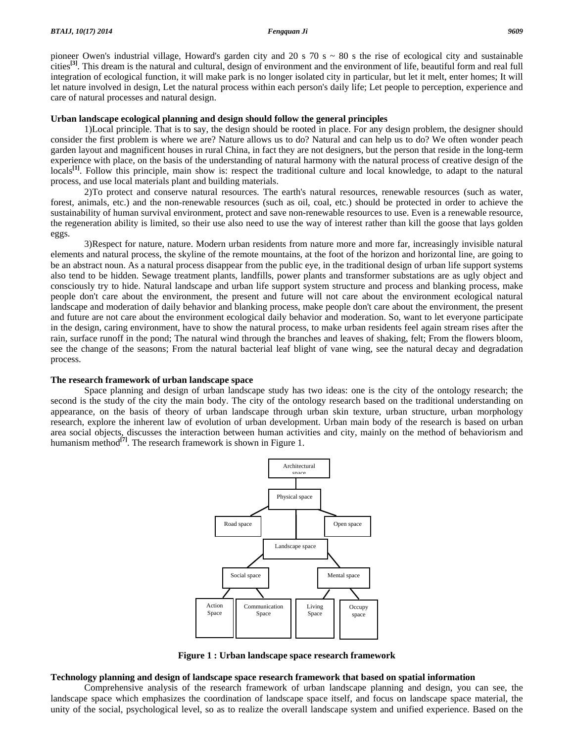pioneer Owen's industrial village, Howard's garden city and 20 s  $70 s \approx 80 s$  the rise of ecological city and sustainable cities**[3]**. This dream is the natural and cultural, design of environment and the environment of life, beautiful form and real full integration of ecological function, it will make park is no longer isolated city in particular, but let it melt, enter homes; It will let nature involved in design, Let the natural process within each person's daily life; Let people to perception, experience and care of natural processes and natural design.

#### **Urban landscape ecological planning and design should follow the general principles**

 1)Local principle. That is to say, the design should be rooted in place. For any design problem, the designer should consider the first problem is where we are? Nature allows us to do? Natural and can help us to do? We often wonder peach garden layout and magnificent houses in rural China, in fact they are not designers, but the person that reside in the long-term experience with place, on the basis of the understanding of natural harmony with the natural process of creative design of the locals<sup>[1]</sup>. Follow this principle, main show is: respect the traditional culture and local knowledge, to adapt to the natural process, and use local materials plant and building materials.

 2)To protect and conserve natural resources. The earth's natural resources, renewable resources (such as water, forest, animals, etc.) and the non-renewable resources (such as oil, coal, etc.) should be protected in order to achieve the sustainability of human survival environment, protect and save non-renewable resources to use. Even is a renewable resource, the regeneration ability is limited, so their use also need to use the way of interest rather than kill the goose that lays golden eggs.

 3)Respect for nature, nature. Modern urban residents from nature more and more far, increasingly invisible natural elements and natural process, the skyline of the remote mountains, at the foot of the horizon and horizontal line, are going to be an abstract noun. As a natural process disappear from the public eye, in the traditional design of urban life support systems also tend to be hidden. Sewage treatment plants, landfills, power plants and transformer substations are as ugly object and consciously try to hide. Natural landscape and urban life support system structure and process and blanking process, make people don't care about the environment, the present and future will not care about the environment ecological natural landscape and moderation of daily behavior and blanking process, make people don't care about the environment, the present and future are not care about the environment ecological daily behavior and moderation. So, want to let everyone participate in the design, caring environment, have to show the natural process, to make urban residents feel again stream rises after the rain, surface runoff in the pond; The natural wind through the branches and leaves of shaking, felt; From the flowers bloom, see the change of the seasons; From the natural bacterial leaf blight of vane wing, see the natural decay and degradation process.

#### **The research framework of urban landscape space**

 Space planning and design of urban landscape study has two ideas: one is the city of the ontology research; the second is the study of the city the main body. The city of the ontology research based on the traditional understanding on appearance, on the basis of theory of urban landscape through urban skin texture, urban structure, urban morphology research, explore the inherent law of evolution of urban development. Urban main body of the research is based on urban area social objects, discusses the interaction between human activities and city, mainly on the method of behaviorism and humanism method<sup>[7]</sup>. The research framework is shown in Figure 1.



**Figure 1 : Urban landscape space research framework** 

### **Technology planning and design of landscape space research framework that based on spatial information**

 Comprehensive analysis of the research framework of urban landscape planning and design, you can see, the landscape space which emphasizes the coordination of landscape space itself, and focus on landscape space material, the unity of the social, psychological level, so as to realize the overall landscape system and unified experience. Based on the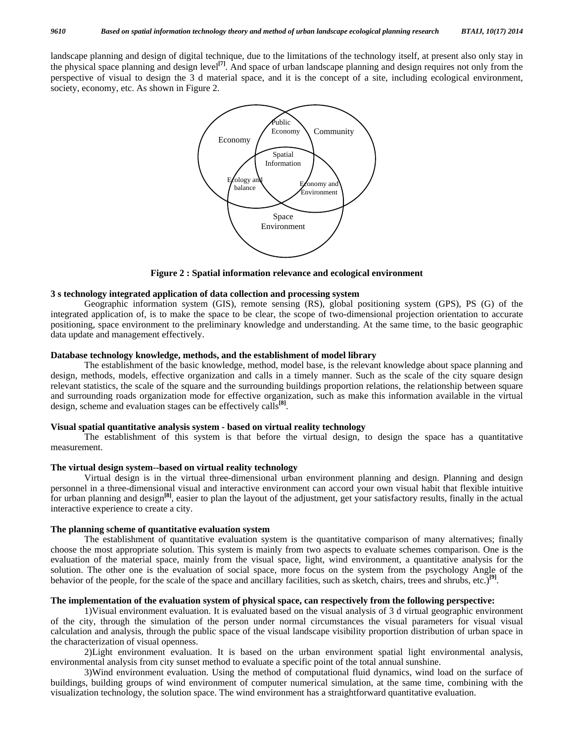landscape planning and design of digital technique, due to the limitations of the technology itself, at present also only stay in the physical space planning and design level**[7]**. And space of urban landscape planning and design requires not only from the perspective of visual to design the 3 d material space, and it is the concept of a site, including ecological environment, society, economy, etc. As shown in Figure 2.



**Figure 2 : Spatial information relevance and ecological environment** 

#### **3 s technology integrated application of data collection and processing system**

 Geographic information system (GIS), remote sensing (RS), global positioning system (GPS), PS (G) of the integrated application of, is to make the space to be clear, the scope of two-dimensional projection orientation to accurate positioning, space environment to the preliminary knowledge and understanding. At the same time, to the basic geographic data update and management effectively.

### **Database technology knowledge, methods, and the establishment of model library**

 The establishment of the basic knowledge, method, model base, is the relevant knowledge about space planning and design, methods, models, effective organization and calls in a timely manner. Such as the scale of the city square design relevant statistics, the scale of the square and the surrounding buildings proportion relations, the relationship between square and surrounding roads organization mode for effective organization, such as make this information available in the virtual design, scheme and evaluation stages can be effectively calls**[8]**.

#### **Visual spatial quantitative analysis system - based on virtual reality technology**

 The establishment of this system is that before the virtual design, to design the space has a quantitative measurement.

#### **The virtual design system--based on virtual reality technology**

 Virtual design is in the virtual three-dimensional urban environment planning and design. Planning and design personnel in a three-dimensional visual and interactive environment can accord your own visual habit that flexible intuitive for urban planning and design**[8]**, easier to plan the layout of the adjustment, get your satisfactory results, finally in the actual interactive experience to create a city.

#### **The planning scheme of quantitative evaluation system**

 The establishment of quantitative evaluation system is the quantitative comparison of many alternatives; finally choose the most appropriate solution. This system is mainly from two aspects to evaluate schemes comparison. One is the evaluation of the material space, mainly from the visual space, light, wind environment, a quantitative analysis for the solution. The other one is the evaluation of social space, more focus on the system from the psychology Angle of the behavior of the people, for the scale of the space and ancillary facilities, such as sketch, chairs, trees and shrubs, etc.)**[9]**.

#### **The implementation of the evaluation system of physical space, can respectively from the following perspective:**

 1)Visual environment evaluation. It is evaluated based on the visual analysis of 3 d virtual geographic environment of the city, through the simulation of the person under normal circumstances the visual parameters for visual visual calculation and analysis, through the public space of the visual landscape visibility proportion distribution of urban space in the characterization of visual openness.

 2)Light environment evaluation. It is based on the urban environment spatial light environmental analysis, environmental analysis from city sunset method to evaluate a specific point of the total annual sunshine.

 3)Wind environment evaluation. Using the method of computational fluid dynamics, wind load on the surface of buildings, building groups of wind environment of computer numerical simulation, at the same time, combining with the visualization technology, the solution space. The wind environment has a straightforward quantitative evaluation.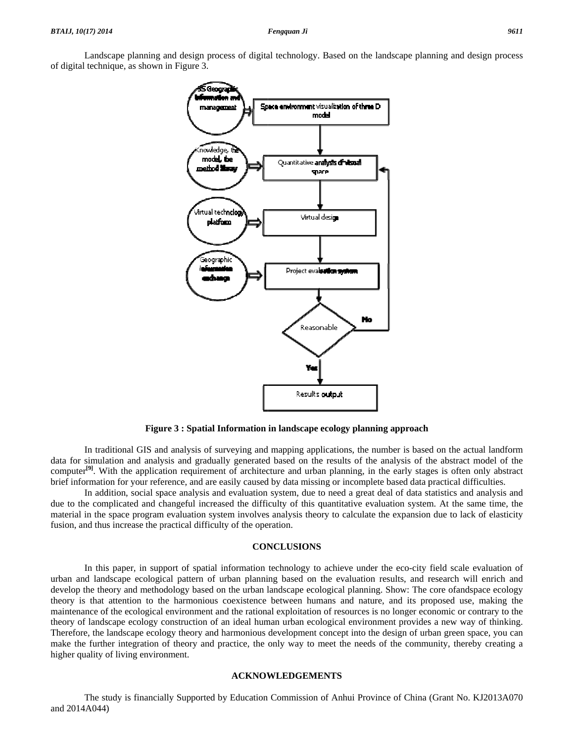

Figure 3 : Spatial Information in landscape ecology planning approach

data for simulation and analysis and gradually generated based on the results of the analysis of the abstract model of the computer<sup>[9]</sup>. With the application requirement of architecture and urban planning, in the early stages is often only abstract brief information for your reference, and are easily caused by data missing or incomplete based data practical difficulties. In traditional GIS and analysis of surveying and mapping applications, the number is based on the actual landform

due to the complicated and changeful increased the difficulty of this quantitative evaluation system. At the same time, the material in the space program evaluation system involves analysis theory to calculate the expansion due to lack of elasticity fusion, and thus increase the practical difficulty of the operation. In addition, social space analysis and evaluation system, due to need a great deal of data statistics and analysis and

#### **CON NCLUSIONS**

urban and landscape ecological pattern of urban planning based on the evaluation results, and research will enrich and develop the theory and methodology based on the urban landscape ecological planning. Show: The core ofandspace ecology theory is that attention to the harmonious coexistence between humans and nature, and its proposed use, making the maintenance of the ecological environment and the rational exploitation of resources is no longer economic or contrary to the theory of landscape ecology construction of an ideal human urban ecological environment provides a new way of thinking. Therefore, the landscape ecology theory and harmonious development concept into the design of urban green space, you can make the further integration of theory and practice, the only way to meet the needs of the community, thereby creating a higher quality of living environment. In this paper, in support of spatial information technology to achieve under the eco-city field scale evaluation of

#### **ACKNOW WLEDGEME ENTS**

a and 2014A044) The study is financially Supported by Education Commission of Anhui Province of China (Grant No. KJ2013A070